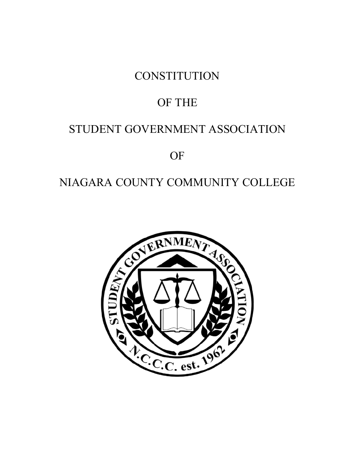**CONSTITUTION** 

# OF THE

# STUDENT GOVERNMENT ASSOCIATION

**OF** 

# NIAGARA COUNTY COMMUNITY COLLEGE

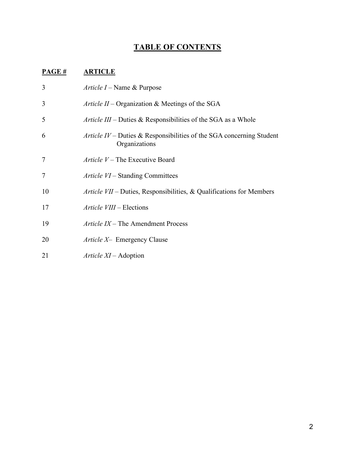# **TABLE OF CONTENTS**

# **PAGE # ARTICLE**

| 3              | <i>Article I –</i> Name & Purpose                                                     |
|----------------|---------------------------------------------------------------------------------------|
| 3              | Article II - Organization & Meetings of the SGA                                       |
| 5              | <i>Article III</i> – Duties & Responsibilities of the SGA as a Whole                  |
| 6              | Article IV – Duties & Responsibilities of the SGA concerning Student<br>Organizations |
| 7              | Article $V$ – The Executive Board                                                     |
| $\overline{7}$ | <i>Article VI</i> – Standing Committees                                               |
| 10             | Article $VII$ – Duties, Responsibilities, & Qualifications for Members                |
| 17             | Article VIII – Elections                                                              |
| 19             | Article $IX$ – The Amendment Process                                                  |
| 20             | <i>Article X</i> - Emergency Clause                                                   |
| 21             | $Article\ XI - Adoption$                                                              |
|                |                                                                                       |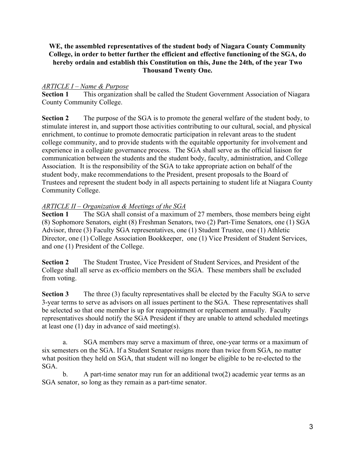### **WE, the assembled representatives of the student body of Niagara County Community College, in order to better further the efficient and effective functioning of the SGA, do hereby ordain and establish this Constitution on this, June the 24th, of the year Two Thousand Twenty One.**

#### *ARTICLE I – Name & Purpose*

**Section 1** This organization shall be called the Student Government Association of Niagara County Community College.

**Section 2** The purpose of the SGA is to promote the general welfare of the student body, to stimulate interest in, and support those activities contributing to our cultural, social, and physical enrichment, to continue to promote democratic participation in relevant areas to the student college community, and to provide students with the equitable opportunity for involvement and experience in a collegiate governance process. The SGA shall serve as the official liaison for communication between the students and the student body, faculty, administration, and College Association. It is the responsibility of the SGA to take appropriate action on behalf of the student body, make recommendations to the President, present proposals to the Board of Trustees and represent the student body in all aspects pertaining to student life at Niagara County Community College.

### *ARTICLE II – Organization & Meetings of the SGA*

**Section 1** The SGA shall consist of a maximum of 27 members, those members being eight (8) Sophomore Senators, eight (8) Freshman Senators, two (2) Part-Time Senators, one (1) SGA Advisor, three (3) Faculty SGA representatives, one (1) Student Trustee, one (1) Athletic Director, one (1) College Association Bookkeeper, one (1) Vice President of Student Services, and one (1) President of the College.

**Section 2** The Student Trustee, Vice President of Student Services, and President of the College shall all serve as ex-officio members on the SGA. These members shall be excluded from voting.

**Section 3** The three (3) faculty representatives shall be elected by the Faculty SGA to serve 3-year terms to serve as advisors on all issues pertinent to the SGA. These representatives shall be selected so that one member is up for reappointment or replacement annually. Faculty representatives should notify the SGA President if they are unable to attend scheduled meetings at least one (1) day in advance of said meeting(s).

a. SGA members may serve a maximum of three, one-year terms or a maximum of six semesters on the SGA. If a Student Senator resigns more than twice from SGA, no matter what position they held on SGA, that student will no longer be eligible to be re-elected to the SGA.

b. A part-time senator may run for an additional two(2) academic year terms as an SGA senator, so long as they remain as a part-time senator.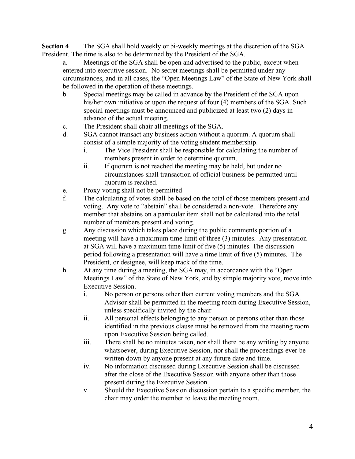**Section 4** The SGA shall hold weekly or bi-weekly meetings at the discretion of the SGA President. The time is also to be determined by the President of the SGA.

a. Meetings of the SGA shall be open and advertised to the public, except when entered into executive session. No secret meetings shall be permitted under any circumstances, and in all cases, the "Open Meetings Law" of the State of New York shall be followed in the operation of these meetings.

- b. Special meetings may be called in advance by the President of the SGA upon his/her own initiative or upon the request of four (4) members of the SGA. Such special meetings must be announced and publicized at least two (2) days in advance of the actual meeting.
- c. The President shall chair all meetings of the SGA.
- d. SGA cannot transact any business action without a quorum. A quorum shall consist of a simple majority of the voting student membership.
	- i. The Vice President shall be responsible for calculating the number of members present in order to determine quorum.
	- ii. If quorum is not reached the meeting may be held, but under no circumstances shall transaction of official business be permitted until quorum is reached.
- e. Proxy voting shall not be permitted
- f. The calculating of votes shall be based on the total of those members present and voting. Any vote to "abstain" shall be considered a non-vote. Therefore any member that abstains on a particular item shall not be calculated into the total number of members present and voting.
- g. Any discussion which takes place during the public comments portion of a meeting will have a maximum time limit of three (3) minutes. Any presentation at SGA will have a maximum time limit of five (5) minutes. The discussion period following a presentation will have a time limit of five (5) minutes. The President, or designee, will keep track of the time.
- h. At any time during a meeting, the SGA may, in accordance with the "Open Meetings Law" of the State of New York, and by simple majority vote, move into Executive Session.
	- i. No person or persons other than current voting members and the SGA Advisor shall be permitted in the meeting room during Executive Session, unless specifically invited by the chair
	- ii. All personal effects belonging to any person or persons other than those identified in the previous clause must be removed from the meeting room upon Executive Session being called.
	- iii. There shall be no minutes taken, nor shall there be any writing by anyone whatsoever, during Executive Session, nor shall the proceedings ever be written down by anyone present at any future date and time.
	- iv. No information discussed during Executive Session shall be discussed after the close of the Executive Session with anyone other than those present during the Executive Session.
	- v. Should the Executive Session discussion pertain to a specific member, the chair may order the member to leave the meeting room.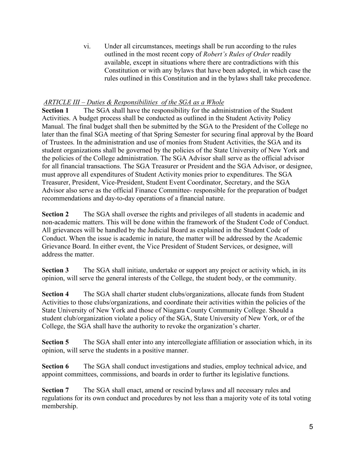vi. Under all circumstances, meetings shall be run according to the rules outlined in the most recent copy of *Robert's Rules of Order* readily available, except in situations where there are contradictions with this Constitution or with any bylaws that have been adopted, in which case the rules outlined in this Constitution and in the bylaws shall take precedence.

# *ARTICLE III – Duties & Responsibilities of the SGA as a Whole*

**Section 1** The SGA shall have the responsibility for the administration of the Student Activities. A budget process shall be conducted as outlined in the Student Activity Policy Manual. The final budget shall then be submitted by the SGA to the President of the College no later than the final SGA meeting of that Spring Semester for securing final approval by the Board of Trustees. In the administration and use of monies from Student Activities, the SGA and its student organizations shall be governed by the policies of the State University of New York and the policies of the College administration. The SGA Advisor shall serve as the official advisor for all financial transactions. The SGA Treasurer or President and the SGA Advisor, or designee, must approve all expenditures of Student Activity monies prior to expenditures. The SGA Treasurer, President, Vice-President, Student Event Coordinator, Secretary, and the SGA Advisor also serve as the official Finance Committee- responsible for the preparation of budget recommendations and day-to-day operations of a financial nature.

**Section 2** The SGA shall oversee the rights and privileges of all students in academic and non-academic matters. This will be done within the framework of the Student Code of Conduct. All grievances will be handled by the Judicial Board as explained in the Student Code of Conduct. When the issue is academic in nature, the matter will be addressed by the Academic Grievance Board. In either event, the Vice President of Student Services, or designee, will address the matter.

**Section 3** The SGA shall initiate, undertake or support any project or activity which, in its opinion, will serve the general interests of the College, the student body, or the community.

**Section 4** The SGA shall charter student clubs/organizations, allocate funds from Student Activities to those clubs/organizations, and coordinate their activities within the policies of the State University of New York and those of Niagara County Community College. Should a student club/organization violate a policy of the SGA, State University of New York, or of the College, the SGA shall have the authority to revoke the organization's charter.

**Section 5** The SGA shall enter into any intercollegiate affiliation or association which, in its opinion, will serve the students in a positive manner.

**Section 6** The SGA shall conduct investigations and studies, employ technical advice, and appoint committees, commissions, and boards in order to further its legislative functions.

**Section 7** The SGA shall enact, amend or rescind bylaws and all necessary rules and regulations for its own conduct and procedures by not less than a majority vote of its total voting membership.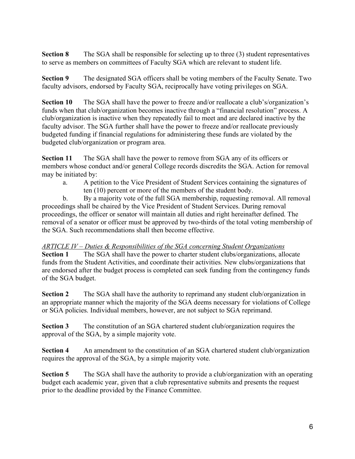**Section 8** The SGA shall be responsible for selecting up to three (3) student representatives to serve as members on committees of Faculty SGA which are relevant to student life.

**Section 9** The designated SGA officers shall be voting members of the Faculty Senate. Two faculty advisors, endorsed by Faculty SGA, reciprocally have voting privileges on SGA.

**Section 10** The SGA shall have the power to freeze and/or reallocate a club's/organization's funds when that club/organization becomes inactive through a "financial resolution" process. A club/organization is inactive when they repeatedly fail to meet and are declared inactive by the faculty advisor. The SGA further shall have the power to freeze and/or reallocate previously budgeted funding if financial regulations for administering these funds are violated by the budgeted club/organization or program area.

**Section 11** The SGA shall have the power to remove from SGA any of its officers or members whose conduct and/or general College records discredits the SGA. Action for removal may be initiated by:

a. A petition to the Vice President of Student Services containing the signatures of ten (10) percent or more of the members of the student body.

b. By a majority vote of the full SGA membership, requesting removal. All removal proceedings shall be chaired by the Vice President of Student Services. During removal proceedings, the officer or senator will maintain all duties and right hereinafter defined. The removal of a senator or officer must be approved by two-thirds of the total voting membership of the SGA. Such recommendations shall then become effective.

# *ARTICLE IV – Duties & Responsibilities of the SGA concerning Student Organizations*

**Section 1** The SGA shall have the power to charter student clubs/organizations, allocate funds from the Student Activities, and coordinate their activities. New clubs/organizations that are endorsed after the budget process is completed can seek funding from the contingency funds of the SGA budget.

**Section 2** The SGA shall have the authority to reprimand any student club/organization in an appropriate manner which the majority of the SGA deems necessary for violations of College or SGA policies. Individual members, however, are not subject to SGA reprimand.

**Section 3** The constitution of an SGA chartered student club/organization requires the approval of the SGA, by a simple majority vote.

**Section 4** An amendment to the constitution of an SGA chartered student club/organization requires the approval of the SGA, by a simple majority vote.

**Section 5** The SGA shall have the authority to provide a club/organization with an operating budget each academic year, given that a club representative submits and presents the request prior to the deadline provided by the Finance Committee.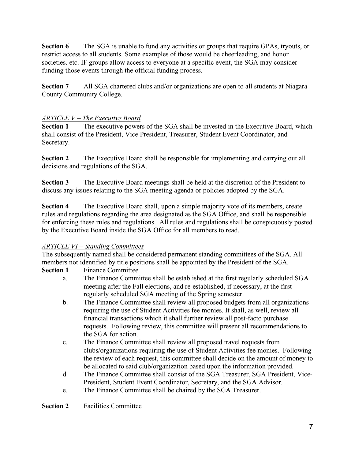**Section 6** The SGA is unable to fund any activities or groups that require GPAs, tryouts, or restrict access to all students. Some examples of those would be cheerleading, and honor societies. etc. IF groups allow access to everyone at a specific event, the SGA may consider funding those events through the official funding process.

**Section 7** All SGA chartered clubs and/or organizations are open to all students at Niagara County Community College.

## *ARTICLE V – The Executive Board*

**Section 1** The executive powers of the SGA shall be invested in the Executive Board, which shall consist of the President, Vice President, Treasurer, Student Event Coordinator, and Secretary.

**Section 2** The Executive Board shall be responsible for implementing and carrying out all decisions and regulations of the SGA.

**Section 3** The Executive Board meetings shall be held at the discretion of the President to discuss any issues relating to the SGA meeting agenda or policies adopted by the SGA.

**Section 4** The Executive Board shall, upon a simple majority vote of its members, create rules and regulations regarding the area designated as the SGA Office, and shall be responsible for enforcing these rules and regulations. All rules and regulations shall be conspicuously posted by the Executive Board inside the SGA Office for all members to read.

# *ARTICLE VI – Standing Committees*

The subsequently named shall be considered permanent standing committees of the SGA. All members not identified by title positions shall be appointed by the President of the SGA.

### **Section 1** Finance Committee

- a. The Finance Committee shall be established at the first regularly scheduled SGA meeting after the Fall elections, and re-established, if necessary, at the first regularly scheduled SGA meeting of the Spring semester.
- b. The Finance Committee shall review all proposed budgets from all organizations requiring the use of Student Activities fee monies. It shall, as well, review all financial transactions which it shall further review all post-facto purchase requests. Following review, this committee will present all recommendations to the SGA for action.
- c. The Finance Committee shall review all proposed travel requests from clubs/organizations requiring the use of Student Activities fee monies. Following the review of each request, this committee shall decide on the amount of money to be allocated to said club/organization based upon the information provided.
- d. The Finance Committee shall consist of the SGA Treasurer, SGA President, Vice-President, Student Event Coordinator, Secretary, and the SGA Advisor.
- e. The Finance Committee shall be chaired by the SGA Treasurer.

**Section 2** Facilities Committee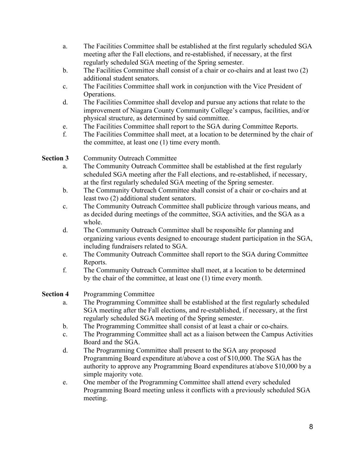- a. The Facilities Committee shall be established at the first regularly scheduled SGA meeting after the Fall elections, and re-established, if necessary, at the first regularly scheduled SGA meeting of the Spring semester.
- b. The Facilities Committee shall consist of a chair or co-chairs and at least two (2) additional student senators.
- c. The Facilities Committee shall work in conjunction with the Vice President of Operations.
- d. The Facilities Committee shall develop and pursue any actions that relate to the improvement of Niagara County Community College's campus, facilities, and/or physical structure, as determined by said committee.
- e. The Facilities Committee shall report to the SGA during Committee Reports.
- f. The Facilities Committee shall meet, at a location to be determined by the chair of the committee, at least one (1) time every month.

## **Section 3** Community Outreach Committee

- a. The Community Outreach Committee shall be established at the first regularly scheduled SGA meeting after the Fall elections, and re-established, if necessary, at the first regularly scheduled SGA meeting of the Spring semester.
- b. The Community Outreach Committee shall consist of a chair or co-chairs and at least two (2) additional student senators.
- c. The Community Outreach Committee shall publicize through various means, and as decided during meetings of the committee, SGA activities, and the SGA as a whole.
- d. The Community Outreach Committee shall be responsible for planning and organizing various events designed to encourage student participation in the SGA, including fundraisers related to SGA.
- e. The Community Outreach Committee shall report to the SGA during Committee Reports.
- f. The Community Outreach Committee shall meet, at a location to be determined by the chair of the committee, at least one (1) time every month.

# **Section 4** Programming Committee

- a. The Programming Committee shall be established at the first regularly scheduled SGA meeting after the Fall elections, and re-established, if necessary, at the first regularly scheduled SGA meeting of the Spring semester.
- b. The Programming Committee shall consist of at least a chair or co-chairs.
- c. The Programming Committee shall act as a liaison between the Campus Activities Board and the SGA.
- d. The Programming Committee shall present to the SGA any proposed Programming Board expenditure at/above a cost of \$10,000. The SGA has the authority to approve any Programming Board expenditures at/above \$10,000 by a simple majority vote.
- e. One member of the Programming Committee shall attend every scheduled Programming Board meeting unless it conflicts with a previously scheduled SGA meeting.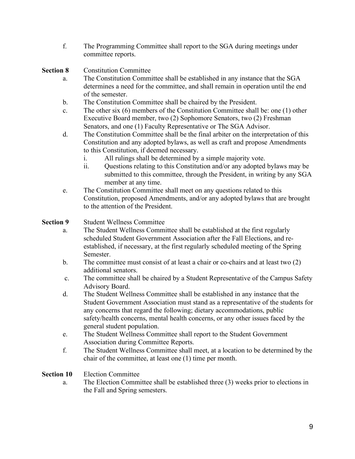f. The Programming Committee shall report to the SGA during meetings under committee reports.

**Section 8** Constitution Committee

- a. The Constitution Committee shall be established in any instance that the SGA determines a need for the committee, and shall remain in operation until the end of the semester.
- b. The Constitution Committee shall be chaired by the President.
- c. The other six (6) members of the Constitution Committee shall be: one (1) other Executive Board member, two (2) Sophomore Senators, two (2) Freshman Senators, and one (1) Faculty Representative or The SGA Advisor.
- d. The Constitution Committee shall be the final arbiter on the interpretation of this Constitution and any adopted bylaws, as well as craft and propose Amendments to this Constitution, if deemed necessary.
	- i. All rulings shall be determined by a simple majority vote.
	- ii. Questions relating to this Constitution and/or any adopted bylaws may be submitted to this committee, through the President, in writing by any SGA member at any time.
- e. The Constitution Committee shall meet on any questions related to this Constitution, proposed Amendments, and/or any adopted bylaws that are brought to the attention of the President.

**Section 9** Student Wellness Committee

- a. The Student Wellness Committee shall be established at the first regularly scheduled Student Government Association after the Fall Elections, and reestablished, if necessary, at the first regularly scheduled meeting of the Spring Semester.
- b. The committee must consist of at least a chair or co-chairs and at least two (2) additional senators.
- c. The committee shall be chaired by a Student Representative of the Campus Safety Advisory Board.
- d. The Student Wellness Committee shall be established in any instance that the Student Government Association must stand as a representative of the students for any concerns that regard the following; dietary accommodations, public safety/health concerns, mental health concerns, or any other issues faced by the general student population.
- e. The Student Wellness Committee shall report to the Student Government Association during Committee Reports.
- f. The Student Wellness Committee shall meet, at a location to be determined by the chair of the committee, at least one (1) time per month.

**Section 10** Election Committee

a. The Election Committee shall be established three (3) weeks prior to elections in the Fall and Spring semesters.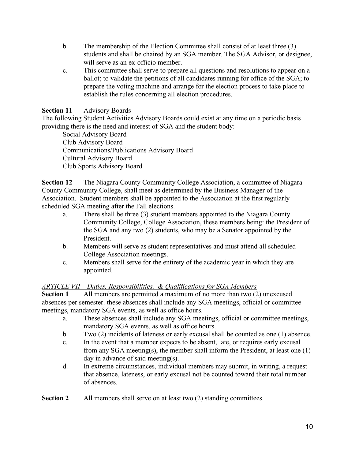- b. The membership of the Election Committee shall consist of at least three (3) students and shall be chaired by an SGA member. The SGA Advisor, or designee, will serve as an ex-officio member.
- c. This committee shall serve to prepare all questions and resolutions to appear on a ballot; to validate the petitions of all candidates running for office of the SGA; to prepare the voting machine and arrange for the election process to take place to establish the rules concerning all election procedures.

#### **Section 11** Advisory Boards

The following Student Activities Advisory Boards could exist at any time on a periodic basis providing there is the need and interest of SGA and the student body:

Social Advisory Board Club Advisory Board Communications/Publications Advisory Board Cultural Advisory Board Club Sports Advisory Board

**Section 12** The Niagara County Community College Association, a committee of Niagara County Community College, shall meet as determined by the Business Manager of the Association. Student members shall be appointed to the Association at the first regularly scheduled SGA meeting after the Fall elections.

- a. There shall be three (3) student members appointed to the Niagara County Community College, College Association, these members being: the President of the SGA and any two (2) students, who may be a Senator appointed by the President.
- b. Members will serve as student representatives and must attend all scheduled College Association meetings.
- c. Members shall serve for the entirety of the academic year in which they are appointed.

#### *ARTICLE VII – Duties, Responsibilities, & Qualifications for SGA Members*

**Section 1** All members are permitted a maximum of no more than two (2) unexcused absences per semester. these absences shall include any SGA meetings, official or committee meetings, mandatory SGA events, as well as office hours.

- a. These absences shall include any SGA meetings, official or committee meetings, mandatory SGA events, as well as office hours.
- b. Two (2) incidents of lateness or early excusal shall be counted as one (1) absence.
- c. In the event that a member expects to be absent, late, or requires early excusal from any SGA meeting(s), the member shall inform the President, at least one (1) day in advance of said meeting(s).
- d. In extreme circumstances, individual members may submit, in writing, a request that absence, lateness, or early excusal not be counted toward their total number of absences.

**Section 2** All members shall serve on at least two (2) standing committees.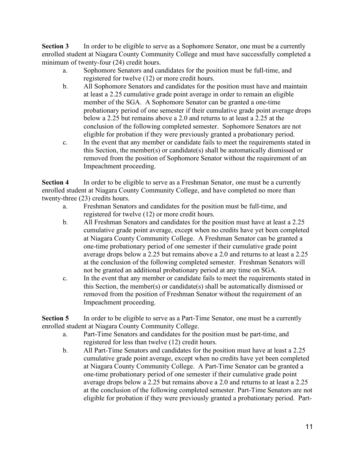**Section 3** In order to be eligible to serve as a Sophomore Senator, one must be a currently enrolled student at Niagara County Community College and must have successfully completed a minimum of twenty-four  $(24)$  credit hours.

- a. Sophomore Senators and candidates for the position must be full-time, and registered for twelve (12) or more credit hours.
- b. All Sophomore Senators and candidates for the position must have and maintain at least a 2.25 cumulative grade point average in order to remain an eligible member of the SGA. A Sophomore Senator can be granted a one-time probationary period of one semester if their cumulative grade point average drops below a 2.25 but remains above a 2.0 and returns to at least a 2.25 at the conclusion of the following completed semester. Sophomore Senators are not eligible for probation if they were previously granted a probationary period.
- c. In the event that any member or candidate fails to meet the requirements stated in this Section, the member(s) or candidate(s) shall be automatically dismissed or removed from the position of Sophomore Senator without the requirement of an Impeachment proceeding.

**Section 4** In order to be eligible to serve as a Freshman Senator, one must be a currently enrolled student at Niagara County Community College, and have completed no more than twenty-three (23) credits hours.

- a. Freshman Senators and candidates for the position must be full-time, and registered for twelve (12) or more credit hours.
- b. All Freshman Senators and candidates for the position must have at least a 2.25 cumulative grade point average, except when no credits have yet been completed at Niagara County Community College. A Freshman Senator can be granted a one-time probationary period of one semester if their cumulative grade point average drops below a 2.25 but remains above a 2.0 and returns to at least a 2.25 at the conclusion of the following completed semester. Freshman Senators will not be granted an additional probationary period at any time on SGA.
- c. In the event that any member or candidate fails to meet the requirements stated in this Section, the member(s) or candidate(s) shall be automatically dismissed or removed from the position of Freshman Senator without the requirement of an Impeachment proceeding.

**Section 5** In order to be eligible to serve as a Part-Time Senator, one must be a currently enrolled student at Niagara County Community College.

- a. Part-Time Senators and candidates for the position must be part-time, and registered for less than twelve (12) credit hours.
- b. All Part-Time Senators and candidates for the position must have at least a 2.25 cumulative grade point average, except when no credits have yet been completed at Niagara County Community College. A Part-Time Senator can be granted a one-time probationary period of one semester if their cumulative grade point average drops below a 2.25 but remains above a 2.0 and returns to at least a 2.25 at the conclusion of the following completed semester. Part-Time Senators are not eligible for probation if they were previously granted a probationary period. Part-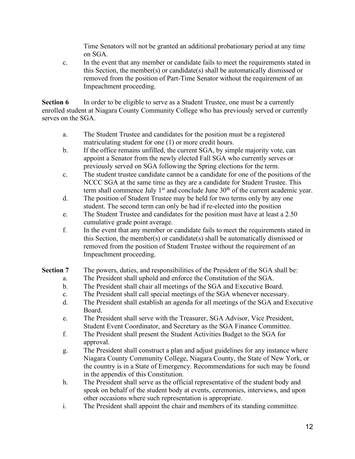Time Senators will not be granted an additional probationary period at any time on SGA.

c. In the event that any member or candidate fails to meet the requirements stated in this Section, the member(s) or candidate(s) shall be automatically dismissed or removed from the position of Part-Time Senator without the requirement of an Impeachment proceeding.

**Section 6** In order to be eligible to serve as a Student Trustee, one must be a currently enrolled student at Niagara County Community College who has previously served or currently serves on the SGA.

- a. The Student Trustee and candidates for the position must be a registered matriculating student for one (1) or more credit hours.
- b. If the office remains unfilled, the current SGA, by simple majority vote, can appoint a Senator from the newly elected Fall SGA who currently serves or previously served on SGA following the Spring elections for the term.
- c. The student trustee candidate cannot be a candidate for one of the positions of the NCCC SGA at the same time as they are a candidate for Student Trustee. This term shall commence July  $1<sup>st</sup>$  and conclude June  $30<sup>th</sup>$  of the current academic year.
- d. The position of Student Trustee may be held for two terms only by any one student. The second term can only be had if re-elected into the position
- e. The Student Trustee and candidates for the position must have at least a 2.50 cumulative grade point average.
- f. In the event that any member or candidate fails to meet the requirements stated in this Section, the member(s) or candidate(s) shall be automatically dismissed or removed from the position of Student Trustee without the requirement of an Impeachment proceeding.
- **Section 7** The powers, duties, and responsibilities of the President of the SGA shall be:
	- a. The President shall uphold and enforce the Constitution of the SGA.
	- b. The President shall chair all meetings of the SGA and Executive Board.
	- c. The President shall call special meetings of the SGA whenever necessary.
	- d. The President shall establish an agenda for all meetings of the SGA and Executive Board.
	- e. The President shall serve with the Treasurer, SGA Advisor, Vice President, Student Event Coordinator, and Secretary as the SGA Finance Committee.
	- f. The President shall present the Student Activities Budget to the SGA for approval.
	- g. The President shall construct a plan and adjust guidelines for any instance where Niagara County Community College, Niagara County, the State of New York, or the country is in a State of Emergency. Recommendations for such may be found in the appendix of this Constitution.
	- h. The President shall serve as the official representative of the student body and speak on behalf of the student body at events, ceremonies, interviews, and upon other occasions where such representation is appropriate.
	- i. The President shall appoint the chair and members of its standing committee.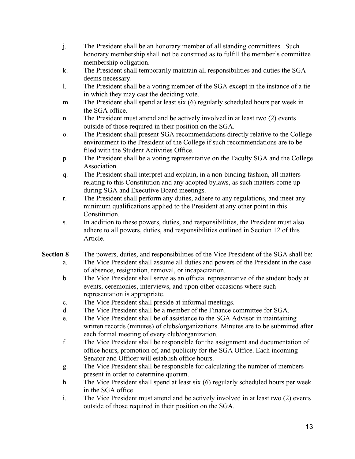- j. The President shall be an honorary member of all standing committees. Such honorary membership shall not be construed as to fulfill the member's committee membership obligation.
- k. The President shall temporarily maintain all responsibilities and duties the SGA deems necessary.
- l. The President shall be a voting member of the SGA except in the instance of a tie in which they may cast the deciding vote.
- m. The President shall spend at least six (6) regularly scheduled hours per week in the SGA office.
- n. The President must attend and be actively involved in at least two (2) events outside of those required in their position on the SGA.
- o. The President shall present SGA recommendations directly relative to the College environment to the President of the College if such recommendations are to be filed with the Student Activities Office.
- p. The President shall be a voting representative on the Faculty SGA and the College Association.
- q. The President shall interpret and explain, in a non-binding fashion, all matters relating to this Constitution and any adopted bylaws, as such matters come up during SGA and Executive Board meetings.
- r. The President shall perform any duties, adhere to any regulations, and meet any minimum qualifications applied to the President at any other point in this Constitution.
- s. In addition to these powers, duties, and responsibilities, the President must also adhere to all powers, duties, and responsibilities outlined in Section 12 of this Article.
- **Section 8** The powers, duties, and responsibilities of the Vice President of the SGA shall be: a. The Vice President shall assume all duties and powers of the President in the case of absence, resignation, removal, or incapacitation.
	- b. The Vice President shall serve as an official representative of the student body at events, ceremonies, interviews, and upon other occasions where such representation is appropriate.
	- c. The Vice President shall preside at informal meetings.
	- d. The Vice President shall be a member of the Finance committee for SGA.
	- e. The Vice President shall be of assistance to the SGA Advisor in maintaining written records (minutes) of clubs/organizations. Minutes are to be submitted after each formal meeting of every club/organization.
	- f. The Vice President shall be responsible for the assignment and documentation of office hours, promotion of, and publicity for the SGA Office. Each incoming Senator and Officer will establish office hours.
	- g. The Vice President shall be responsible for calculating the number of members present in order to determine quorum.
	- h. The Vice President shall spend at least six (6) regularly scheduled hours per week in the SGA office.
	- i. The Vice President must attend and be actively involved in at least two (2) events outside of those required in their position on the SGA.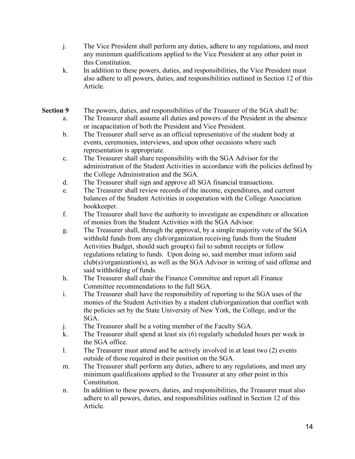- j. The Vice President shall perform any duties, adhere to any regulations, and meet any minimum qualifications applied to the Vice President at any other point in this Constitution.
- k. In addition to these powers, duties, and responsibilities, the Vice President must also adhere to all powers, duties, and responsibilities outlined in Section 12 of this Article.

# **Section 9** The powers, duties, and responsibilities of the Treasurer of the SGA shall be:

- a. The Treasurer shall assume all duties and powers of the President in the absence or incapacitation of both the President and Vice President.
- b. The Treasurer shall serve as an official representative of the student body at events, ceremonies, interviews, and upon other occasions where such representation is appropriate.
- c. The Treasurer shall share responsibility with the SGA Advisor for the administration of the Student Activities in accordance with the policies defined by the College Administration and the SGA.
- d. The Treasurer shall sign and approve all SGA financial transactions.
- e. The Treasurer shall review records of the income, expenditures, and current balances of the Student Activities in cooperation with the College Association bookkeeper.
- f. The Treasurer shall have the authority to investigate an expenditure or allocation of monies from the Student Activities with the SGA Advisor.
- g. The Treasurer shall, through the approval, by a simple majority vote of the SGA withhold funds from any club/organization receiving funds from the Student Activities Budget, should such group(s) fail to submit receipts or follow regulations relating to funds. Upon doing so, said member must inform said club(s)/organization(s), as well as the SGA Advisor in writing of said offense and said withholding of funds.
- h. The Treasurer shall chair the Finance Committee and report all Finance Committee recommendations to the full SGA.
- i. The Treasurer shall have the responsibility of reporting to the SGA uses of the monies of the Student Activities by a student club/organization that conflict with the policies set by the State University of New York, the College, and/or the SGA.
- j. The Treasurer shall be a voting member of the Faculty SGA.
- k. The Treasurer shall spend at least six (6) regularly scheduled hours per week in the SGA office.
- l. The Treasurer must attend and be actively involved in at least two (2) events outside of those required in their position on the SGA.
- m. The Treasurer shall perform any duties, adhere to any regulations, and meet any minimum qualifications applied to the Treasurer at any other point in this Constitution.
- n. In addition to these powers, duties, and responsibilities, the Treasurer must also adhere to all powers, duties, and responsibilities outlined in Section 12 of this Article.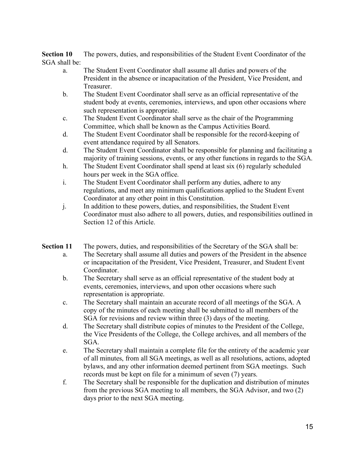**Section 10** The powers, duties, and responsibilities of the Student Event Coordinator of the SGA shall be:

- a. The Student Event Coordinator shall assume all duties and powers of the President in the absence or incapacitation of the President, Vice President, and Treasurer.
- b. The Student Event Coordinator shall serve as an official representative of the student body at events, ceremonies, interviews, and upon other occasions where such representation is appropriate.
- c. The Student Event Coordinator shall serve as the chair of the Programming Committee, which shall be known as the Campus Activities Board.
- d. The Student Event Coordinator shall be responsible for the record-keeping of event attendance required by all Senators.
- d. The Student Event Coordinator shall be responsible for planning and facilitating a majority of training sessions, events, or any other functions in regards to the SGA.
- h. The Student Event Coordinator shall spend at least six (6) regularly scheduled hours per week in the SGA office.
- i. The Student Event Coordinator shall perform any duties, adhere to any regulations, and meet any minimum qualifications applied to the Student Event Coordinator at any other point in this Constitution.
- j. In addition to these powers, duties, and responsibilities, the Student Event Coordinator must also adhere to all powers, duties, and responsibilities outlined in Section 12 of this Article.
- **Section 11** The powers, duties, and responsibilities of the Secretary of the SGA shall be:
	- a. The Secretary shall assume all duties and powers of the President in the absence or incapacitation of the President, Vice President, Treasurer, and Student Event Coordinator.
	- b. The Secretary shall serve as an official representative of the student body at events, ceremonies, interviews, and upon other occasions where such representation is appropriate.
	- c. The Secretary shall maintain an accurate record of all meetings of the SGA. A copy of the minutes of each meeting shall be submitted to all members of the SGA for revisions and review within three (3) days of the meeting.
	- d. The Secretary shall distribute copies of minutes to the President of the College, the Vice Presidents of the College, the College archives, and all members of the SGA.
	- e. The Secretary shall maintain a complete file for the entirety of the academic year of all minutes, from all SGA meetings, as well as all resolutions, actions, adopted bylaws, and any other information deemed pertinent from SGA meetings. Such records must be kept on file for a minimum of seven (7) years.
	- f. The Secretary shall be responsible for the duplication and distribution of minutes from the previous SGA meeting to all members, the SGA Advisor, and two (2) days prior to the next SGA meeting.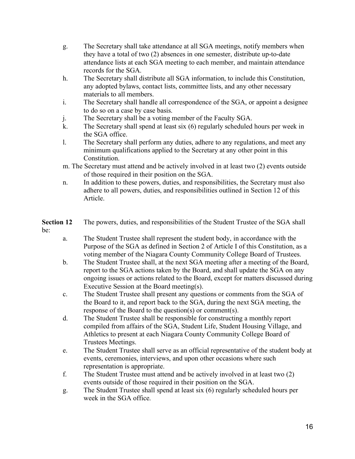- g. The Secretary shall take attendance at all SGA meetings, notify members when they have a total of two (2) absences in one semester, distribute up-to-date attendance lists at each SGA meeting to each member, and maintain attendance records for the SGA.
- h. The Secretary shall distribute all SGA information, to include this Constitution, any adopted bylaws, contact lists, committee lists, and any other necessary materials to all members.
- i. The Secretary shall handle all correspondence of the SGA, or appoint a designee to do so on a case by case basis.
- j. The Secretary shall be a voting member of the Faculty SGA.
- k. The Secretary shall spend at least six (6) regularly scheduled hours per week in the SGA office.
- l. The Secretary shall perform any duties, adhere to any regulations, and meet any minimum qualifications applied to the Secretary at any other point in this Constitution.
- m. The Secretary must attend and be actively involved in at least two (2) events outside of those required in their position on the SGA.
- n. In addition to these powers, duties, and responsibilities, the Secretary must also adhere to all powers, duties, and responsibilities outlined in Section 12 of this Article.
- **Section 12** The powers, duties, and responsibilities of the Student Trustee of the SGA shall be:
	- a. The Student Trustee shall represent the student body, in accordance with the Purpose of the SGA as defined in Section 2 of Article I of this Constitution, as a voting member of the Niagara County Community College Board of Trustees.
	- b. The Student Trustee shall, at the next SGA meeting after a meeting of the Board, report to the SGA actions taken by the Board, and shall update the SGA on any ongoing issues or actions related to the Board, except for matters discussed during Executive Session at the Board meeting(s).
	- c. The Student Trustee shall present any questions or comments from the SGA of the Board to it, and report back to the SGA, during the next SGA meeting, the response of the Board to the question(s) or comment(s).
	- d. The Student Trustee shall be responsible for constructing a monthly report compiled from affairs of the SGA, Student Life, Student Housing Village, and Athletics to present at each Niagara County Community College Board of Trustees Meetings.
	- e. The Student Trustee shall serve as an official representative of the student body at events, ceremonies, interviews, and upon other occasions where such representation is appropriate.
	- f. The Student Trustee must attend and be actively involved in at least two (2) events outside of those required in their position on the SGA.
	- g. The Student Trustee shall spend at least six (6) regularly scheduled hours per week in the SGA office.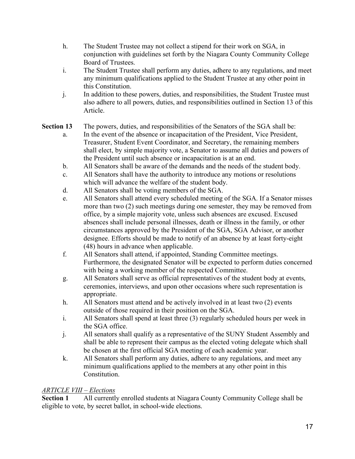- h. The Student Trustee may not collect a stipend for their work on SGA, in conjunction with guidelines set forth by the Niagara County Community College Board of Trustees.
- i. The Student Trustee shall perform any duties, adhere to any regulations, and meet any minimum qualifications applied to the Student Trustee at any other point in this Constitution.
- j. In addition to these powers, duties, and responsibilities, the Student Trustee must also adhere to all powers, duties, and responsibilities outlined in Section 13 of this Article.

# **Section 13** The powers, duties, and responsibilities of the Senators of the SGA shall be:

- a. In the event of the absence or incapacitation of the President, Vice President, Treasurer, Student Event Coordinator, and Secretary, the remaining members shall elect, by simple majority vote, a Senator to assume all duties and powers of the President until such absence or incapacitation is at an end.
- b. All Senators shall be aware of the demands and the needs of the student body.
- c. All Senators shall have the authority to introduce any motions or resolutions which will advance the welfare of the student body.
- d. All Senators shall be voting members of the SGA.
- e. All Senators shall attend every scheduled meeting of the SGA. If a Senator misses more than two (2) such meetings during one semester, they may be removed from office, by a simple majority vote, unless such absences are excused. Excused absences shall include personal illnesses, death or illness in the family, or other circumstances approved by the President of the SGA, SGA Advisor, or another designee. Efforts should be made to notify of an absence by at least forty-eight (48) hours in advance when applicable.
- f. All Senators shall attend, if appointed, Standing Committee meetings. Furthermore, the designated Senator will be expected to perform duties concerned with being a working member of the respected Committee.
- g. All Senators shall serve as official representatives of the student body at events, ceremonies, interviews, and upon other occasions where such representation is appropriate.
- h. All Senators must attend and be actively involved in at least two (2) events outside of those required in their position on the SGA.
- i. All Senators shall spend at least three (3) regularly scheduled hours per week in the SGA office.
- j. All senators shall qualify as a representative of the SUNY Student Assembly and shall be able to represent their campus as the elected voting delegate which shall be chosen at the first official SGA meeting of each academic year.
- k. All Senators shall perform any duties, adhere to any regulations, and meet any minimum qualifications applied to the members at any other point in this **Constitution**

# *ARTICLE VIII – Elections*

**Section 1** All currently enrolled students at Niagara County Community College shall be eligible to vote, by secret ballot, in school-wide elections.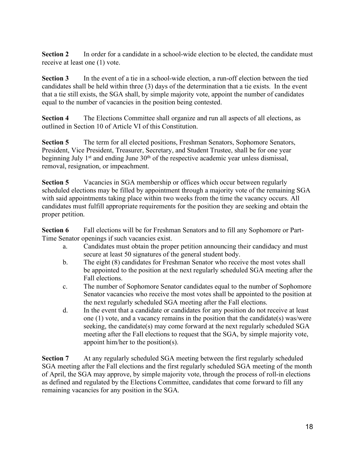**Section 2** In order for a candidate in a school-wide election to be elected, the candidate must receive at least one (1) vote.

**Section 3** In the event of a tie in a school-wide election, a run-off election between the tied candidates shall be held within three (3) days of the determination that a tie exists. In the event that a tie still exists, the SGA shall, by simple majority vote, appoint the number of candidates equal to the number of vacancies in the position being contested.

**Section 4** The Elections Committee shall organize and run all aspects of all elections, as outlined in Section 10 of Article VI of this Constitution.

**Section 5** The term for all elected positions, Freshman Senators, Sophomore Senators, President, Vice President, Treasurer, Secretary, and Student Trustee, shall be for one year beginning July  $1<sup>st</sup>$  and ending June  $30<sup>th</sup>$  of the respective academic year unless dismissal, removal, resignation, or impeachment.

**Section 5** Vacancies in SGA membership or offices which occur between regularly scheduled elections may be filled by appointment through a majority vote of the remaining SGA with said appointments taking place within two weeks from the time the vacancy occurs. All candidates must fulfill appropriate requirements for the position they are seeking and obtain the proper petition.

**Section 6** Fall elections will be for Freshman Senators and to fill any Sophomore or Part-Time Senator openings if such vacancies exist.

- a. Candidates must obtain the proper petition announcing their candidacy and must secure at least 50 signatures of the general student body.
- b. The eight (8) candidates for Freshman Senator who receive the most votes shall be appointed to the position at the next regularly scheduled SGA meeting after the Fall elections.
- c. The number of Sophomore Senator candidates equal to the number of Sophomore Senator vacancies who receive the most votes shall be appointed to the position at the next regularly scheduled SGA meeting after the Fall elections.
- d. In the event that a candidate or candidates for any position do not receive at least one (1) vote, and a vacancy remains in the position that the candidate(s) was/were seeking, the candidate(s) may come forward at the next regularly scheduled SGA meeting after the Fall elections to request that the SGA, by simple majority vote, appoint him/her to the position(s).

**Section 7** At any regularly scheduled SGA meeting between the first regularly scheduled SGA meeting after the Fall elections and the first regularly scheduled SGA meeting of the month of April, the SGA may approve, by simple majority vote, through the process of roll-in elections as defined and regulated by the Elections Committee, candidates that come forward to fill any remaining vacancies for any position in the SGA.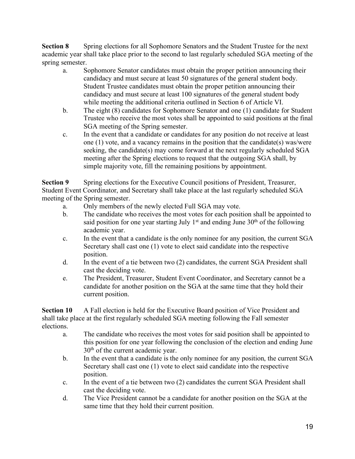**Section 8** Spring elections for all Sophomore Senators and the Student Trustee for the next academic year shall take place prior to the second to last regularly scheduled SGA meeting of the spring semester.

- a. Sophomore Senator candidates must obtain the proper petition announcing their candidacy and must secure at least 50 signatures of the general student body. Student Trustee candidates must obtain the proper petition announcing their candidacy and must secure at least 100 signatures of the general student body while meeting the additional criteria outlined in Section 6 of Article VI.
- b. The eight (8) candidates for Sophomore Senator and one (1) candidate for Student Trustee who receive the most votes shall be appointed to said positions at the final SGA meeting of the Spring semester.
- c. In the event that a candidate or candidates for any position do not receive at least one (1) vote, and a vacancy remains in the position that the candidate(s) was/were seeking, the candidate(s) may come forward at the next regularly scheduled SGA meeting after the Spring elections to request that the outgoing SGA shall, by simple majority vote, fill the remaining positions by appointment.

**Section 9** Spring elections for the Executive Council positions of President, Treasurer, Student Event Coordinator, and Secretary shall take place at the last regularly scheduled SGA meeting of the Spring semester.

- a. Only members of the newly elected Full SGA may vote.
- b. The candidate who receives the most votes for each position shall be appointed to said position for one year starting July  $1<sup>st</sup>$  and ending June  $30<sup>th</sup>$  of the following academic year.
- c. In the event that a candidate is the only nominee for any position, the current SGA Secretary shall cast one (1) vote to elect said candidate into the respective position.
- d. In the event of a tie between two (2) candidates, the current SGA President shall cast the deciding vote.
- e. The President, Treasurer, Student Event Coordinator, and Secretary cannot be a candidate for another position on the SGA at the same time that they hold their current position.

**Section 10** A Fall election is held for the Executive Board position of Vice President and shall take place at the first regularly scheduled SGA meeting following the Fall semester elections.

- a. The candidate who receives the most votes for said position shall be appointed to this position for one year following the conclusion of the election and ending June 30th of the current academic year.
- b. In the event that a candidate is the only nominee for any position, the current SGA Secretary shall cast one (1) vote to elect said candidate into the respective position.
- c. In the event of a tie between two (2) candidates the current SGA President shall cast the deciding vote.
- d. The Vice President cannot be a candidate for another position on the SGA at the same time that they hold their current position.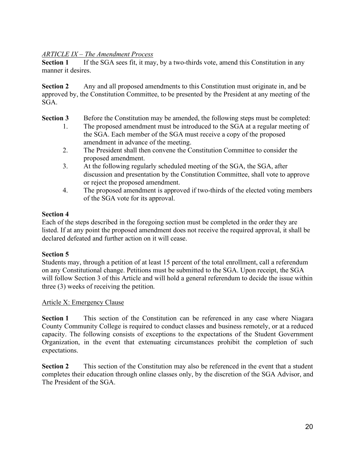### *ARTICLE IX – The Amendment Process*

**Section 1** If the SGA sees fit, it may, by a two-thirds vote, amend this Constitution in any manner it desires.

**Section 2** Any and all proposed amendments to this Constitution must originate in, and be approved by, the Constitution Committee, to be presented by the President at any meeting of the SGA.

#### **Section 3** Before the Constitution may be amended, the following steps must be completed:

- 1. The proposed amendment must be introduced to the SGA at a regular meeting of the SGA. Each member of the SGA must receive a copy of the proposed amendment in advance of the meeting.
- 2. The President shall then convene the Constitution Committee to consider the proposed amendment.
- 3. At the following regularly scheduled meeting of the SGA, the SGA, after discussion and presentation by the Constitution Committee, shall vote to approve or reject the proposed amendment.
- 4. The proposed amendment is approved if two-thirds of the elected voting members of the SGA vote for its approval.

#### **Section 4**

Each of the steps described in the foregoing section must be completed in the order they are listed. If at any point the proposed amendment does not receive the required approval, it shall be declared defeated and further action on it will cease.

### **Section 5**

Students may, through a petition of at least 15 percent of the total enrollment, call a referendum on any Constitutional change. Petitions must be submitted to the SGA. Upon receipt, the SGA will follow Section 3 of this Article and will hold a general referendum to decide the issue within three (3) weeks of receiving the petition.

### Article X: Emergency Clause

**Section 1** This section of the Constitution can be referenced in any case where Niagara County Community College is required to conduct classes and business remotely, or at a reduced capacity. The following consists of exceptions to the expectations of the Student Government Organization, in the event that extenuating circumstances prohibit the completion of such expectations.

**Section 2** This section of the Constitution may also be referenced in the event that a student completes their education through online classes only, by the discretion of the SGA Advisor, and The President of the SGA.